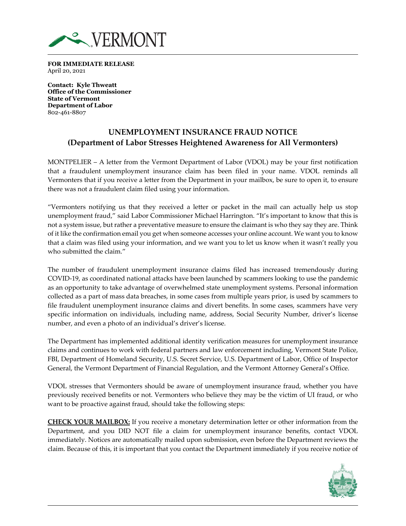

**FOR IMMEDIATE RELEASE**  April 20, 2021

**Contact: Kyle Thweatt Office of the Commissioner State of Vermont Department of Labor**  802-461-8807

## **UNEMPLOYMENT INSURANCE FRAUD NOTICE (Department of Labor Stresses Heightened Awareness for All Vermonters)**

MONTPELIER – A letter from the Vermont Department of Labor (VDOL) may be your first notification that a fraudulent unemployment insurance claim has been filed in your name. VDOL reminds all Vermonters that if you receive a letter from the Department in your mailbox, be sure to open it, to ensure there was not a fraudulent claim filed using your information.

"Vermonters notifying us that they received a letter or packet in the mail can actually help us stop unemployment fraud," said Labor Commissioner Michael Harrington. "It's important to know that this is not a system issue, but rather a preventative measure to ensure the claimant is who they say they are. Think of it like the confirmation email you get when someone accesses your online account. We want you to know that a claim was filed using your information, and we want you to let us know when it wasn't really you who submitted the claim."

The number of fraudulent unemployment insurance claims filed has increased tremendously during COVID-19, as coordinated national attacks have been launched by scammers looking to use the pandemic as an opportunity to take advantage of overwhelmed state unemployment systems. Personal information collected as a part of mass data breaches, in some cases from multiple years prior, is used by scammers to file fraudulent unemployment insurance claims and divert benefits. In some cases, scammers have very specific information on individuals, including name, address, Social Security Number, driver's license number, and even a photo of an individual's driver's license.

The Department has implemented additional identity verification measures for unemployment insurance claims and continues to work with federal partners and law enforcement including, Vermont State Police, FBI, Department of Homeland Security, U.S. Secret Service, U.S. Department of Labor, Office of Inspector General, the Vermont Department of Financial Regulation, and the Vermont Attorney General's Office.

VDOL stresses that Vermonters should be aware of unemployment insurance fraud, whether you have previously received benefits or not. Vermonters who believe they may be the victim of UI fraud, or who want to be proactive against fraud, should take the following steps:

**CHECK YOUR MAILBOX:** If you receive a monetary determination letter or other information from the Department, and you DID NOT file a claim for unemployment insurance benefits, contact VDOL immediately. Notices are automatically mailed upon submission, even before the Department reviews the claim. Because of this, it is important that you contact the Department immediately if you receive notice of